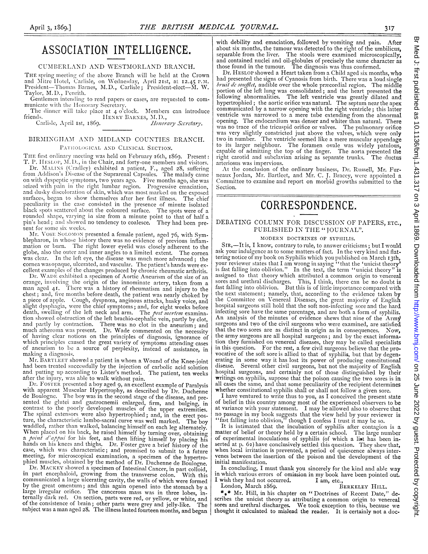## ASSOCIATION INTELLIGENCE.

### CUMBERLAND AND WESTMORLAND BRANCH.

THE spring meeting of the above Branch will he held at the Crown and Mitre Hotel, Carlisle, on Wednesday, April 21st, at 12.45 P.M.<br>President—Thomas Barnes, M.D., Carlisle ; President-elect—M. W. Taylor, M.D., Penrith.

Genitlemen intending to read papers or cases, are requested to communicate with the Honorary Secretary.

The dinner will take place at  $4$  o<sup>5</sup>clock. Members can introduce friends. HENRY BARNES, M.D., HENRY BARNES, M.D.,<br>*Honorary Secretary*.

Carlisle, April 1st, 1869.

### BIRMINGHAM AND MIDLAND COUNTIES BRANCH. PATHOLOGICAL AND CLINICAL SECTION.

THE first ordinary meeting was held on February 26th, 1869. Present: T. P. HESLOP, M.D., in the Chair, and forty-one members and visitors. Dr. MALINS (Cradley) exhibited a patient, F., aged 28, suffering from Addison's Disease of the Suprarenal Capsules. The malady came<br>on with dyspeptic symptoms, two years ago. Five months ago, she was seized with pain in the right lumbar region. Progressive emaciation, and dusky discoloration of skin, which was most marked on the exposed surfaces, began to show themselves after her first illness. The chief peculiarity in the case consisted in the presence of minute isolated black spots scattered asout the coloured surface. The spots were of a rounded shape, varying in size from a minute point to that of half a pin's head; and showed no tendency to coalesce. They had been present for some six weeks.

Mr. VOSE SOLOMON presented a female patient, aged 76, with Symblepharon, in whose history there was no evidence of previous inflammation or burn. The right lower eyelid was closely adherent to the globe, also the outer and inner angles to a limited extent. The cornea was clear. In the left eye, the disease was much more advanced; the cornea was opaque, ulcerated, and vascular. The patient's hands were excellent examples of the changes produced by chronic rheumatic arthritis.

Dr. WADE exhibited a specimen of Aortic Aneurism of the size of an orange, involving the origin of the innominate artery, taken from a man aged 41. There was a history of rheumatism and injury to the chest; and, five montlhs before death, the patient was nearly choked by a piece of apple. Cough, dyspnœa, anginous attacks, husky voice, and slight dysphagia, were the chief symptoms; and, for eight weeks before<br>death, swelling of the left neck and arm. The *post mortem* examination showed obstruction of the left brachio-cephalic vein, partly by clot, and partly by contraction. There was no clot in the aneurism; and much atheroma was present. Dr. Wade commented on the necessity of having clear notions on the principles of diagnosis, ignorance of which principles caused the great variety of symptoms attending cases of aneurism to be a source of perplexity, instead of assistance, in making a diagnosis.

Mr. BARTLEET showed <sup>a</sup> patient in whom <sup>a</sup> Wound of the Knee-joint had been treated successfully by the injection of carbolic acid solution<br>and putting up according to Lister's method. The patient, ten weeks and putting up according to Lister's method. after the injury, was able to walk without pain.

Dr. FOSTER presented <sup>a</sup> boy aged 9, an excellent example of Paralysis with apparent Muscular Hypertrophy, as described by Dr. Duchenne<br>de Boulogne. The boy was in the second stage of the disease, and presented the glutei and gastrocnemii enlarged, firm, and bulging, in conitrast to the poorly developed muscles of the upper extremities. The spinal extensors were also hypertrophied; and, in the erect posture, the characteristic lumbo-sacral curve was well marked. The boy waddled, rather than walked, balancing himself on each leg alternately. When placed on his back, he raised himself by turning over, obtaining a point d'appui for his feet, and then lifting himself by placing his<br>hands on his knees and thighs. Dr. Foster gave a brief history of the case, which was characteristic; and promised to submit to a future meeting, for microscopical examination, a specimen of the hypertrophied muscles, obtained by the method of Dr. Duchenne de Boulogne.

Dr. MACKEY showed a specimen of Intestinal Cancer, in part colloid, in part encephaloid, growing from the transverse colon. With this communicated a large ulcerating cavity, the walls of which were formed<br>by the great omentum; and this again opened into the stomach by a large irregular orifice. The cancerous mass was in three lobes, in-<br>ternally dark red. On section, parts were red, or yellow, or white, and ternally dark red. On section, parts were red, or yellow, or white, and of the consistence of brain; other parts were grey and jelly-like. The subject was <sup>a</sup> man aged 28. The illness lasted fourteen months, and began with debility and emaciation, followed by vomiting and pain. After about six months, the tumour was detected to the right of the umbilicus, separable from the liver. The stools were examinied microscopically, and contained nuclei and oil-globules of precisely the same character as those found in the tumour. The diagnosis was thus confirmed.

Dr. HESLOP showed <sup>a</sup> Heart taken from <sup>a</sup> Child aged six months, who had presented the signs of Cyanosis from birth. There was a loud single bruit de soufflet, audible over the whole præcordial region. The middle portion of the left lung was consolidated; and the heart presented the following abnormalities. The left ventricle was greatly dilated and hypertroplhied; the aortic orifice was natural. The septum near the apex communicated by a narrow opening with the right ventricle; this latter ventricle was narrowed to a mere tube extending from the abnormal opening. The endocardium was denser and whiter than natural. There was no trace of the tricuspid orifice or valves. The pulmonary orifice was very slightly constricted just above the valves, which were only two in number. The ventricle seemed like <sup>a</sup> mere muscular appendage to its larger neighbour. The foramen ovale was widely patulous, capable of admitting the top of the finger. The aorta presented the right carotid and subclavian arising as separate trunks. The ductus arteriosus was impervious.

At the conclusion of the ordinary business, Dr. Russell, Mr. Furneaux Jordan, Mr. Bartleet, and Mr. C. J. Bracey, were appointed a Committee to examine and report on morbid growths submitted to the Section.

# CORRESPONDENCE.

### DEBATING COLUMN FOR DISCUSSION OF PAPERS, ETC., PUBLISHED IN THE "JOURNAL".

## MODERN DOCTRINES OF SYPHILIS.

SIR,-It is, I know, contrary to rule, to answer criticisms; but I would ask your indulgence as to some matters of fact. In the very kind and flattering notice of my book on Syphilis which you published on March 13th,<br>your reviewer states that I am wrong in saying "that the 'unicist theory'<br>is fast falling into oblivion." In the text, the term "unicist theory" is<br>as sores and urethral discharges. This, I think, there can be no doubt is fast falling into oblivion. But this is of little imiportance compared with the next statement; namely, that, according to the evidence taken by the Committee on Venereal Diseases, the great majority of English hospital surgeons still hold that the soft non-infecting sore and the hard infecting sore have the same parentage, and are both a form of syphilis. An analysis of the minutes of evidence shews that nine of the Army surgeons and two of the civil surgeons who were examined, are satisfied that the two sores are as distinct in origin as in consequences. Nov, the army surgeons are all hospital surgeons; and by the exact information they furnished on venereal diseases, they may be called specialists in this question. For the rest, a few civil surgeons believe that the provocative of the soft sore is allied to that of syphilis, but that by degenerating in some way it has lost its power of producing constitutional disease. Several other civil surgeons, but not the majority of English hospital surgeons, and certainly not of those distinguished by their writings on syphilis, suppose that the poison causing the two sores is in all cases the same, and that some peculiarity of the recipient determines whether constitutional syphilis shall or shall not follov a given sore.

<sup>I</sup> have ventured to write thus to you, as <sup>I</sup> conceived the present state of belief in this country among most of the experienced observers to be at variance with your statement. I may be allowed also to observe that no passage in my book suggests that the view held by your reviewer is "fast falling into oblivion," though I confess I trust it may be so.

It is intimated that the incubation of syphilis after contagion is a matter of belief or theory held by a certain school. The large number of experimental inoculations of syphilis (of which a list has been inserted at p. 62) have conclusively settled this question. They shew that, when local irritation is prevented, <sup>a</sup> period of quiescence always inter-venes between the insertion of the poison and the development of the initial manifestation.

In concluding, I must thank you sincerely for the kind and able way in which various errors of omission in my book have been pointed out.<br>I wish they had not occurred. I am, etc., I wish they had not occurred.<br>London, March 1869.

BERKELEY HILL.

\*\*\* Mr. Hill, in his chapter on "Doctrines of Recent Date," describes the unicist theory as attributing a common origin to venereal sores and urethral discharges. We took exception to this, because we thought it calculated to mislead the reader. It is certainly not a doc